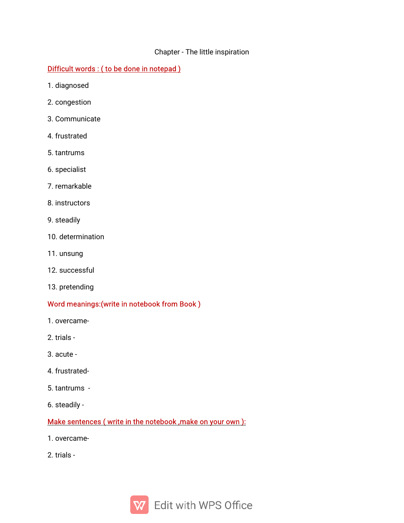#### Chapter - The little inspiration

## Difficult words: (to be done in notepad)

- 1.diagnosed
- 2.congestion
- 3.Communicate
- 4.frustrated
- 5.tantrums
- 6.specialist
- 7.remarkable
- 8.instructors
- 9. steadily
- 10. determination
- 11.unsung
- 12.successful
- 13. pretending

## Word meanings: (write in notebook from Book)

- 1.overcame-
- 2.trials-
- 3.acute-
- 4.frustrated-
- 5.tantrums-
- 6.steadily-

#### Make sentences (write in the notebook, make on your own):

- 1.overcame-
- 2.trials-

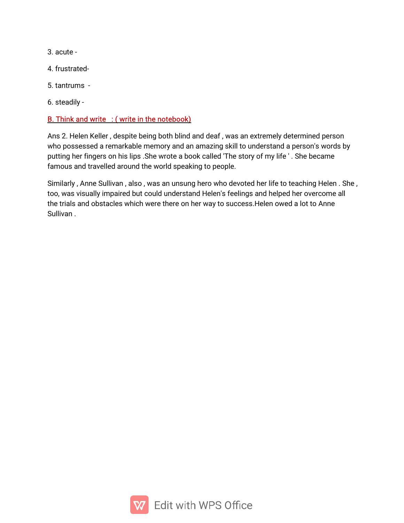- 3.acute-
- 4.frustrated-
- 5.tantrums-
- 6.steadily-

# B. Think and write  $\therefore$  (write in the notebook)

Ans 2. Helen Keller, despite being both blind and deaf, was an extremely determined person who possessed a remarkable memory and an amazing skill to understand a person's words by putting her fingers on his lips .She wrote a book called 'The story of my life'. She became famous and travelled around the world speaking to people.

Similarly, Anne Sullivan, also, was an unsung hero who devoted her life to teaching Helen. She, too, was visually impaired but could understand Helen's feelings and helped her overcome all the trials and obstacles which were there on her way to success.Helen owed a lot to Anne Sullivan.

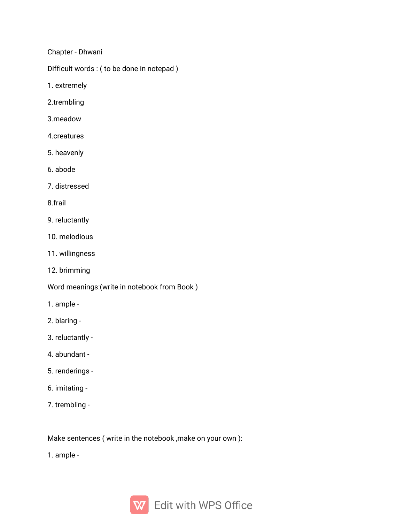Chapter-Dhwani

Difficult words: ( to be done in notepad)

1.extremely

2.trembling

3.meadow

- 4.creatures
- 5.heavenly
- 6.abode
- 7.distressed

8.frail

- 9. reluctantly
- 10.melodious
- 11.willingness
- 12.brimming
- Word meanings: (write in notebook from Book)
- 1.ample-
- 2.blaring-
- 3.reluctantly-
- 4. abundant -
- 5.renderings-
- 6.imitating-
- 7. trembling -

Make sentences (write in the notebook, make on your own):

1.ample-